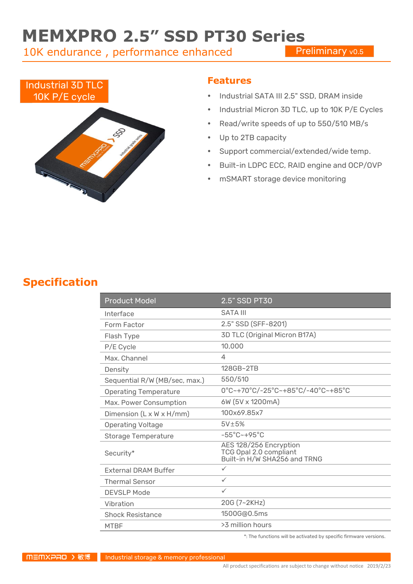# **MEMXPRO 2.5" SSD PT30 Series**

10K endurance , performance enhanced

**Preliminary vo.5** 



#### **Features**

- Industrial SATA III 2.5" SSD, DRAM inside
- Industrial Micron 3D TLC, up to 10K P/E Cycles
- Read/write speeds of up to 550/510 MB/s
- Up to 2TB capacity
- Support commercial/extended/wide temp.
- Built-in LDPC ECC, RAID engine and OCP/OVP
- mSMART storage device monitoring

### **Specification**

| <b>Product Model</b>                 | 2.5" SSD PT30                                                                    |  |
|--------------------------------------|----------------------------------------------------------------------------------|--|
| Interface                            | <b>SATA III</b>                                                                  |  |
| Form Factor                          | 2.5" SSD (SFF-8201)                                                              |  |
| Flash Type                           | 3D TLC (Original Micron B17A)                                                    |  |
| P/E Cycle                            | 10,000                                                                           |  |
| Max Channel                          | 4                                                                                |  |
| Density                              | 128GB~2TB                                                                        |  |
| Sequential R/W (MB/sec, max.)        | 550/510                                                                          |  |
| <b>Operating Temperature</b>         | 0°C~+70°C/-25°C~+85°C/-40°C~+85°C                                                |  |
| Max. Power Consumption               | 6W (5V x 1200mA)                                                                 |  |
| Dimension $(L \times W \times H/mm)$ | 100x69.85x7                                                                      |  |
| <b>Operating Voltage</b>             | $5V\pm5%$                                                                        |  |
| <b>Storage Temperature</b>           | $-55^{\circ}$ C $-+95^{\circ}$ C                                                 |  |
| Security*                            | AES 128/256 Encryption<br>TCG Opal 2.0 compliant<br>Built-in H/W SHA256 and TRNG |  |
| <b>External DRAM Buffer</b>          | $\checkmark$                                                                     |  |
| <b>Thermal Sensor</b>                | ✓                                                                                |  |
| <b>DEVSLP Mode</b>                   | $\checkmark$                                                                     |  |
| Vibration                            | 20G (7~2KHz)                                                                     |  |
| <b>Shock Resistance</b>              | 1500G@0.5ms                                                                      |  |
| <b>MTBF</b>                          | >3 million hours                                                                 |  |

\*: The functions will be activated by specific firmware versions.